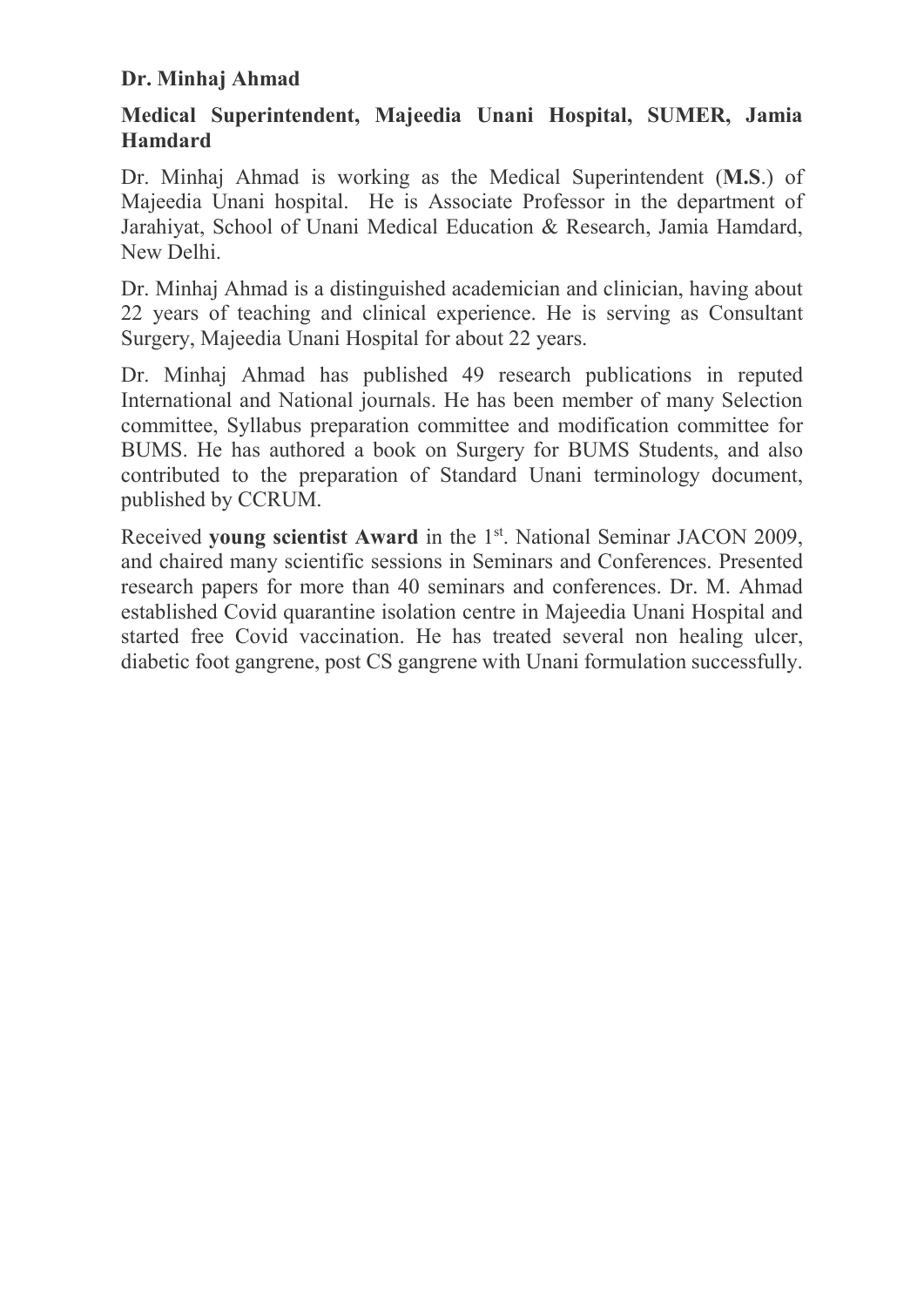### Dr. Minhaj Ahmad

## Medical Superintendent, Majeedia Unani Hospital, SUMER, Jamia Hamdard

Dr. Minhaj Ahmad is working as the Medical Superintendent (M.S.) of Majeedia Unani hospital. He is Associate Professor in the department of Jarahiyat, School of Unani Medical Education & Research, Jamia Hamdard, New Delhi.

Dr. Minhaj Ahmad is a distinguished academician and clinician, having about 22 years of teaching and clinical experience. He is serving as Consultant Surgery, Majeedia Unani Hospital for about 22 years.

Dr. Minhaj Ahmad has published 49 research publications in reputed International and National journals. He has been member of many Selection committee, Syllabus preparation committee and modification committee for BUMS. He has authored a book on Surgery for BUMS Students, and also contributed to the preparation of Standard Unani terminology document, published by CCRUM.

Received young scientist Award in the 1<sup>st</sup>. National Seminar JACON 2009, and chaired many scientific sessions in Seminars and Conferences. Presented research papers for more than 40 seminars and conferences. Dr. M. Ahmad established Covid quarantine isolation centre in Majeedia Unani Hospital and started free Covid vaccination. He has treated several non healing ulcer, diabetic foot gangrene, post CS gangrene with Unani formulation successfully.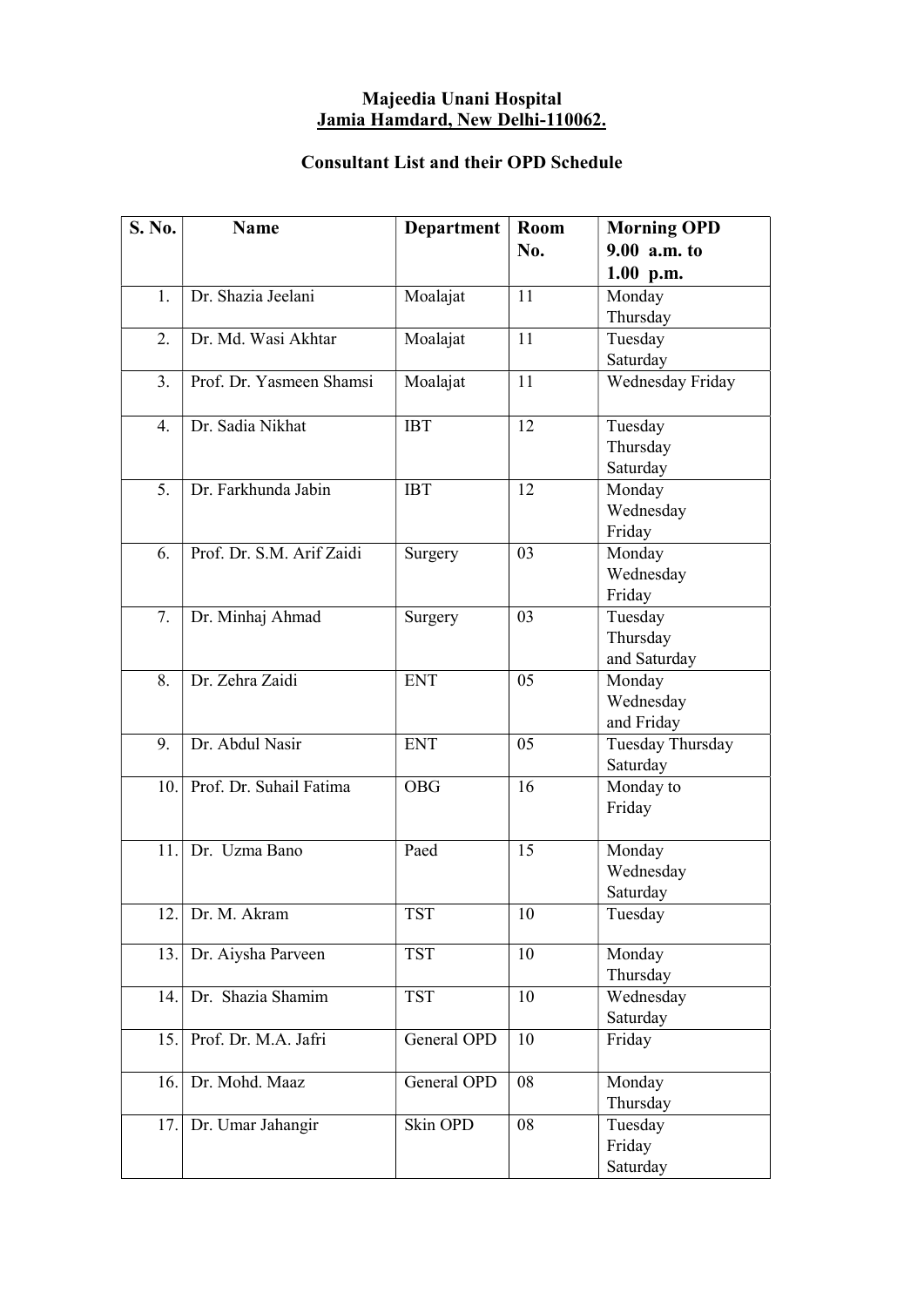#### Majeedia Unani Hospital Jamia Hamdard, New Delhi-110062.

### Consultant List and their OPD Schedule

| S. No. | <b>Name</b>               | <b>Department</b> | Room | <b>Morning OPD</b> |
|--------|---------------------------|-------------------|------|--------------------|
|        |                           |                   | No.  | $9.00$ a.m. to     |
|        |                           |                   |      | $1.00$ p.m.        |
| 1.     | Dr. Shazia Jeelani        | Moalajat          | 11   | Monday             |
|        |                           |                   |      | Thursday           |
| 2.     | Dr. Md. Wasi Akhtar       | Moalajat          | 11   | Tuesday            |
|        |                           |                   |      | Saturday           |
| 3.     | Prof. Dr. Yasmeen Shamsi  | Moalajat          | 11   | Wednesday Friday   |
| 4.     | Dr. Sadia Nikhat          | <b>IBT</b>        | 12   | Tuesday            |
|        |                           |                   |      | Thursday           |
|        |                           |                   |      | Saturday           |
| 5.     | Dr. Farkhunda Jabin       | <b>IBT</b>        | 12   | Monday             |
|        |                           |                   |      | Wednesday          |
|        |                           |                   |      | Friday             |
| 6.     | Prof. Dr. S.M. Arif Zaidi | Surgery           | 03   | Monday             |
|        |                           |                   |      | Wednesday          |
|        |                           |                   |      | Friday             |
| 7.     | Dr. Minhaj Ahmad          | Surgery           | 03   | Tuesday            |
|        |                           |                   |      | Thursday           |
|        |                           |                   |      | and Saturday       |
| 8.     | Dr. Zehra Zaidi           | <b>ENT</b>        | 05   | Monday             |
|        |                           |                   |      | Wednesday          |
|        |                           |                   |      | and Friday         |
| 9.     | Dr. Abdul Nasir           | <b>ENT</b>        | 05   | Tuesday Thursday   |
|        | Prof. Dr. Suhail Fatima   |                   | 16   | Saturday           |
| 10.    |                           | <b>OBG</b>        |      | Monday to          |
|        |                           |                   |      | Friday             |
| 11.    | Dr. Uzma Bano             | Paed              | 15   | Monday             |
|        |                           |                   |      | Wednesday          |
|        |                           |                   |      | Saturday           |
|        | 12. Dr. M. Akram          | <b>TST</b>        | 10   | Tuesday            |
|        |                           |                   |      |                    |
| 13.    | Dr. Aiysha Parveen        | <b>TST</b>        | 10   | Monday             |
|        |                           |                   |      | Thursday           |
| 14.    | Dr. Shazia Shamim         | <b>TST</b>        | 10   | Wednesday          |
|        |                           |                   |      | Saturday           |
| 15.    | Prof. Dr. M.A. Jafri      | General OPD       | 10   | Friday             |
| 16.    | Dr. Mohd. Maaz            | General OPD       | 08   | Monday             |
|        |                           |                   |      | Thursday           |
| 17.    | Dr. Umar Jahangir         | Skin OPD          | 08   | Tuesday            |
|        |                           |                   |      | Friday             |
|        |                           |                   |      | Saturday           |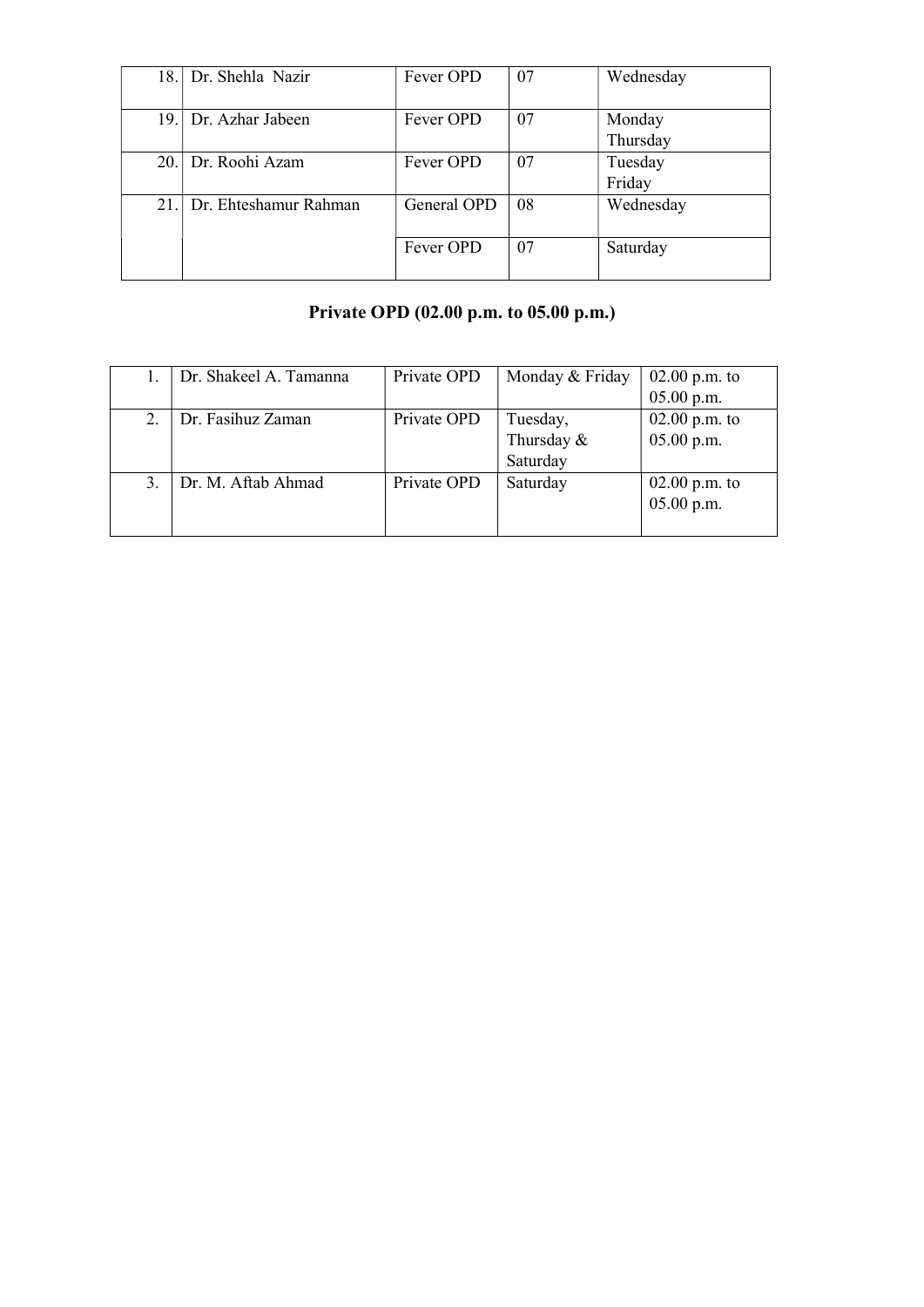| 18. | Dr. Shehla Nazir      | Fever OPD   | 07 | Wednesday          |
|-----|-----------------------|-------------|----|--------------------|
|     | 19. Dr. Azhar Jabeen  | Fever OPD   | 07 | Monday<br>Thursday |
|     | 20. Dr. Roohi Azam    | Fever OPD   | 07 | Tuesday<br>Friday  |
| 21. | Dr. Ehteshamur Rahman | General OPD | 08 | Wednesday          |
|     |                       | Fever OPD   | 07 | Saturday           |

## Private OPD (02.00 p.m. to 05.00 p.m.)

| Dr. Shakeel A. Tamanna | Private OPD | Monday & Friday | $02.00$ p.m. to |
|------------------------|-------------|-----------------|-----------------|
|                        |             |                 | $05.00$ p.m.    |
| Dr. Fasihuz Zaman      | Private OPD | Tuesday,        | $02.00$ p.m. to |
|                        |             | Thursday &      | $05.00$ p.m.    |
|                        |             | Saturday        |                 |
| Dr. M. Aftab Ahmad     | Private OPD | Saturday        | $02.00$ p.m. to |
|                        |             |                 | $05.00$ p.m.    |
|                        |             |                 |                 |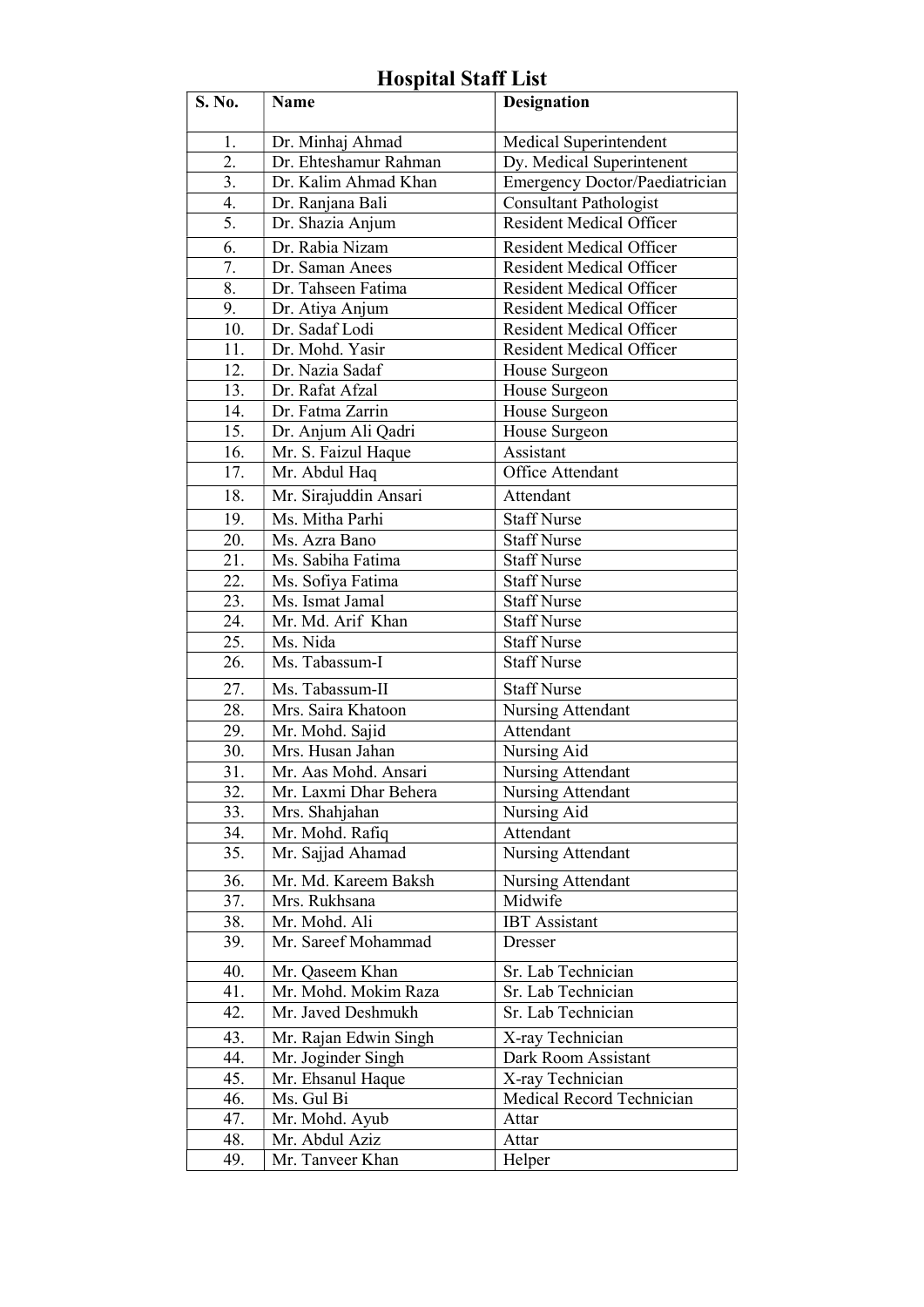#### S. No. Name Designation 1. | Dr. Minhaj Ahmad | Medical Superintendent 2. Dr. Ehteshamur Rahman Dy. Medical Superintenent 3. Dr. Kalim Ahmad Khan Emergency Doctor/Paediatrician 4. Dr. Ranjana Bali Consultant Pathologist 5. | Dr. Shazia Anjum | Resident Medical Officer 6. Dr. Rabia Nizam Resident Medical Officer 7. Dr. Saman Anees Resident Medical Officer 8. | Dr. Tahseen Fatima | Resident Medical Officer 9. Dr. Atiya Anjum Resident Medical Officer 10. Dr. Sadaf Lodi Resident Medical Officer 11. Dr. Mohd. Yasir Resident Medical Officer 12. Dr. Nazia Sadaf House Surgeon 13. Dr. Rafat Afzal House Surgeon 14. | Dr. Fatma Zarrin | House Surgeon 15. Dr. Anjum Ali Qadri | House Surgeon 16. Mr. S. Faizul Haque Assistant 17. Mr. Abdul Haq Office Attendant 18. Mr. Sirajuddin Ansari Attendant 19. Ms. Mitha Parhi Staff Nurse 20. Ms. Azra Bano Staff Nurse 21. Ms. Sabiha Fatima Staff Nurse 22. | Ms. Sofiya Fatima | Staff Nurse 23. | Ms. Ismat Jamal | Staff Nurse 24. Mr. Md. Arif Khan Staff Nurse 25. | Ms. Nida | Staff Nurse 26. Ms. Tabassum-I Staff Nurse 27. | Ms. Tabassum-II Staff Nurse 28. Mrs. Saira Khatoon Nursing Attendant 29. Mr. Mohd. Sajid Attendant 30. | Mrs. Husan Jahan | Nursing Aid 31. Mr. Aas Mohd. Ansari Nursing Attendant 32. Mr. Laxmi Dhar Behera Nursing Attendant 33. Mrs. Shahjahan Nursing Aid 34. | Mr. Mohd. Rafiq | Attendant 35. | Mr. Sajjad Ahamad | Nursing Attendant 36. Mr. Md. Kareem Baksh Nursing Attendant 37. | Mrs. Rukhsana | Midwife 38. | Mr. Mohd. Ali | IBT Assistant 39. Mr. Sareef Mohammad Dresser 40. Mr. Qaseem Khan Sr. Lab Technician 41. Mr. Mohd. Mokim Raza Sr. Lab Technician 42. Mr. Javed Deshmukh Sr. Lab Technician 43. Mr. Rajan Edwin Singh X-ray Technician 44. | Mr. Joginder Singh | Dark Room Assistant 45. Mr. Ehsanul Haque X-ray Technician 46. | Ms. Gul Bi | Medical Record Technician 47. Mr. Mohd. Ayub Attar 48. Mr. Abdul Aziz Attar 49. Mr. Tanveer Khan Helper

### Hospital Staff List